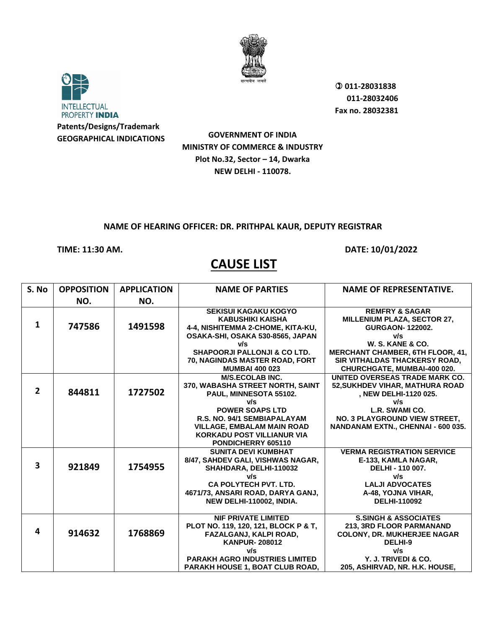



 **011-28031838 011-28032406 Fax no. 28032381**

**GOVERNMENT OF INDIA MINISTRY OF COMMERCE & INDUSTRY Plot No.32, Sector – 14, Dwarka NEW DELHI - 110078.**

### **NAME OF HEARING OFFICER: DR. PRITHPAL KAUR, DEPUTY REGISTRAR**

**TIME: 11:30 AM. DATE: 10/01/2022**

| S. No                   | <b>OPPOSITION</b> | <b>APPLICATION</b> | <b>NAME OF PARTIES</b>                                                                                                                                                                                  | <b>NAME OF REPRESENTATIVE.</b>                                                                                                                                               |
|-------------------------|-------------------|--------------------|---------------------------------------------------------------------------------------------------------------------------------------------------------------------------------------------------------|------------------------------------------------------------------------------------------------------------------------------------------------------------------------------|
|                         | NO.               | NO.                |                                                                                                                                                                                                         |                                                                                                                                                                              |
| 1                       | 747586            | 1491598            | <b>SEKISUI KAGAKU KOGYO</b><br><b>KABUSHIKI KAISHA</b><br>4-4, NISHITEMMA 2-CHOME, KITA-KU,<br>OSAKA-SHI, OSAKA 530-8565, JAPAN<br>v/s                                                                  | <b>REMFRY &amp; SAGAR</b><br><b>MILLENIUM PLAZA, SECTOR 27,</b><br><b>GURGAON-122002.</b><br>v/s<br>W. S. KANE & CO.                                                         |
|                         |                   |                    | <b>SHAPOORJI PALLONJI &amp; CO LTD.</b><br>70, NAGINDAS MASTER ROAD, FORT                                                                                                                               | <b>MERCHANT CHAMBER, 6TH FLOOR, 41,</b><br><b>SIR VITHALDAS THACKERSY ROAD,</b>                                                                                              |
|                         |                   |                    | <b>MUMBAI 400 023</b>                                                                                                                                                                                   | CHURCHGATE, MUMBAI-400 020.                                                                                                                                                  |
| $\overline{2}$          | 844811            | 1727502            | <b>M/S.ECOLAB INC.</b><br>370, WABASHA STREET NORTH, SAINT<br>PAUL, MINNESOTA 55102.                                                                                                                    | UNITED OVERSEAS TRADE MARK CO.<br>52, SUKHDEV VIHAR, MATHURA ROAD<br>, NEW DELHI-1120 025.                                                                                   |
|                         |                   |                    | v/s<br><b>POWER SOAPS LTD</b><br>R.S. NO. 94/1 SEMBIAPALAYAM<br><b>VILLAGE, EMBALAM MAIN ROAD</b><br><b>KORKADU POST VILLIANUR VIA</b><br>PONDICHERRY 605110                                            | v/s<br>L.R. SWAMI CO.<br>NO. 3 PLAYGROUND VIEW STREET,<br>NANDANAM EXTN., CHENNAI - 600 035.                                                                                 |
| $\overline{\mathbf{3}}$ | 921849            | 1754955            | <b>SUNITA DEVI KUMBHAT</b><br>8/47, SAHDEV GALI, VISHWAS NAGAR,<br>SHAHDARA, DELHI-110032<br>v/s<br><b>CA POLYTECH PVT. LTD.</b><br>4671/73, ANSARI ROAD, DARYA GANJ,<br>NEW DELHI-110002, INDIA.       | <b>VERMA REGISTRATION SERVICE</b><br>E-133. KAMLA NAGAR.<br>DELHI - 110 007.<br>v/s<br><b>LALJI ADVOCATES</b><br>A-48, YOJNA VIHAR,<br><b>DELHI-110092</b>                   |
| 4                       | 914632            | 1768869            | <b>NIF PRIVATE LIMITED</b><br>PLOT NO. 119, 120, 121, BLOCK P & T,<br>FAZALGANJ, KALPI ROAD,<br><b>KANPUR-208012</b><br>v/s<br><b>PARAKH AGRO INDUSTRIES LIMITED</b><br>PARAKH HOUSE 1, BOAT CLUB ROAD, | <b>S.SINGH &amp; ASSOCIATES</b><br>213, 3RD FLOOR PARMANAND<br><b>COLONY, DR. MUKHERJEE NAGAR</b><br>DELHI-9<br>v/s<br>Y. J. TRIVEDI & CO.<br>205, ASHIRVAD, NR. H.K. HOUSE, |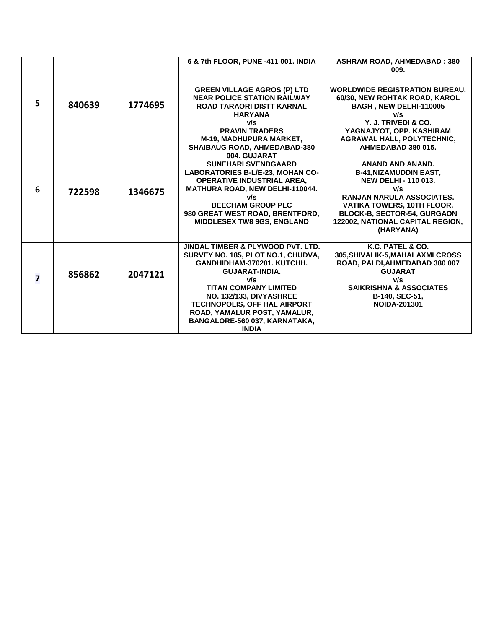|                         |        |         | 6 & 7th FLOOR, PUNE -411 001. INDIA     | <b>ASHRAM ROAD, AHMEDABAD: 380</b>    |
|-------------------------|--------|---------|-----------------------------------------|---------------------------------------|
|                         |        |         |                                         | 009.                                  |
|                         |        |         |                                         |                                       |
|                         |        |         | <b>GREEN VILLAGE AGROS (P) LTD</b>      | <b>WORLDWIDE REGISTRATION BUREAU.</b> |
|                         |        |         | <b>NEAR POLICE STATION RAILWAY</b>      | 60/30, NEW ROHTAK ROAD, KAROL         |
| 5                       | 840639 | 1774695 | <b>ROAD TARAORI DISTT KARNAL</b>        | BAGH, NEW DELHI-110005                |
|                         |        |         | <b>HARYANA</b>                          | v/s                                   |
|                         |        |         | v/s                                     | Y. J. TRIVEDI & CO.                   |
|                         |        |         | <b>PRAVIN TRADERS</b>                   | YAGNAJYOT, OPP. KASHIRAM              |
|                         |        |         | M-19, MADHUPURA MARKET,                 | <b>AGRAWAL HALL, POLYTECHNIC,</b>     |
|                         |        |         | <b>SHAIBAUG ROAD, AHMEDABAD-380</b>     | AHMEDABAD 380 015.                    |
|                         |        |         | 004. GUJARAT                            |                                       |
|                         |        |         | <b>SUNEHARI SVENDGAARD</b>              | <b>ANAND AND ANAND.</b>               |
|                         |        |         | <b>LABORATORIES B-L/E-23. MOHAN CO-</b> | <b>B-41, NIZAMUDDIN EAST,</b>         |
|                         |        |         | <b>OPERATIVE INDUSTRIAL AREA.</b>       | <b>NEW DELHI - 110 013.</b>           |
| 6                       | 722598 | 1346675 | <b>MATHURA ROAD, NEW DELHI-110044.</b>  | v/s                                   |
|                         |        |         | v/s                                     | RANJAN NARULA ASSOCIATES.             |
|                         |        |         | <b>BEECHAM GROUP PLC</b>                | VATIKA TOWERS, 10TH FLOOR,            |
|                         |        |         | 980 GREAT WEST ROAD, BRENTFORD,         | <b>BLOCK-B, SECTOR-54, GURGAON</b>    |
|                         |        |         | <b>MIDDLESEX TW8 9GS, ENGLAND</b>       | 122002, NATIONAL CAPITAL REGION,      |
|                         |        |         |                                         | (HARYANA)                             |
|                         |        |         | JINDAL TIMBER & PLYWOOD PVT. LTD.       | K.C. PATEL & CO.                      |
|                         |        |         | SURVEY NO. 185, PLOT NO.1, CHUDVA,      | 305, SHIVALIK-5, MAHALAXMI CROSS      |
|                         |        |         | GANDHIDHAM-370201. KUTCHH.              | ROAD, PALDI, AHMEDABAD 380 007        |
|                         |        |         | <b>GUJARAT-INDIA.</b>                   | <b>GUJARAT</b>                        |
| $\overline{\mathbf{z}}$ | 856862 | 2047121 | v/s                                     | v/s                                   |
|                         |        |         | <b>TITAN COMPANY LIMITED</b>            | <b>SAIKRISHNA &amp; ASSOCIATES</b>    |
|                         |        |         | NO. 132/133, DIVYASHREE                 | B-140, SEC-51,                        |
|                         |        |         | TECHNOPOLIS, OFF HAL AIRPORT            | <b>NOIDA-201301</b>                   |
|                         |        |         | ROAD, YAMALUR POST, YAMALUR,            |                                       |
|                         |        |         | BANGALORE-560 037, KARNATAKA,           |                                       |
|                         |        |         | <b>INDIA</b>                            |                                       |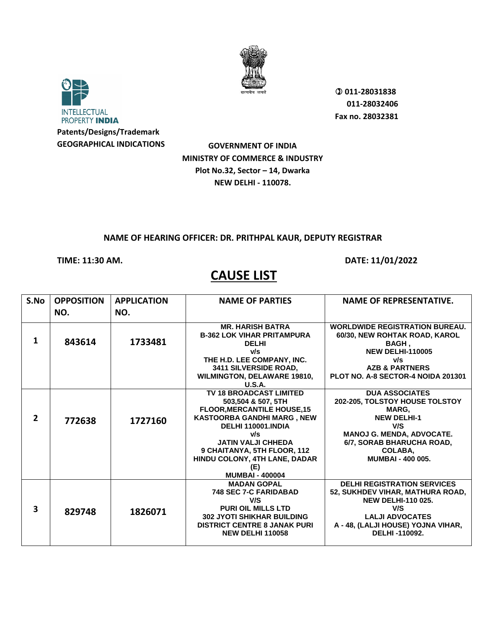



 **011-28031838 011-28032406 Fax no. 28032381**

**GOVERNMENT OF INDIA MINISTRY OF COMMERCE & INDUSTRY Plot No.32, Sector – 14, Dwarka NEW DELHI - 110078.**

### **NAME OF HEARING OFFICER: DR. PRITHPAL KAUR, DEPUTY REGISTRAR**

**TIME: 11:30 AM. DATE: 11/01/2022** 

| S.No                    | <b>OPPOSITION</b><br>NO. | <b>APPLICATION</b><br>NO. | <b>NAME OF PARTIES</b>                                                                                                                                                                                                                                                                     | <b>NAME OF REPRESENTATIVE.</b>                                                                                                                                                                        |
|-------------------------|--------------------------|---------------------------|--------------------------------------------------------------------------------------------------------------------------------------------------------------------------------------------------------------------------------------------------------------------------------------------|-------------------------------------------------------------------------------------------------------------------------------------------------------------------------------------------------------|
| 1                       | 843614                   | 1733481                   | <b>MR. HARISH BATRA</b><br><b>B-362 LOK VIHAR PRITAMPURA</b><br><b>DELHI</b><br>v/s<br>THE H.D. LEE COMPANY, INC.<br>3411 SILVERSIDE ROAD,<br><b>WILMINGTON, DELAWARE 19810,</b><br>U.S.A.                                                                                                 | <b>WORLDWIDE REGISTRATION BUREAU.</b><br>60/30, NEW ROHTAK ROAD, KAROL<br>BAGH.<br><b>NEW DELHI-110005</b><br>v/s<br><b>AZB &amp; PARTNERS</b><br>PLOT NO. A-8 SECTOR-4 NOIDA 201301                  |
| $\overline{2}$          | 772638                   | 1727160                   | <b>TV 18 BROADCAST LIMITED</b><br>503.504 & 507, 5TH<br><b>FLOOR, MERCANTILE HOUSE, 15</b><br><b>KASTOORBA GANDHI MARG, NEW</b><br>DELHI 110001.INDIA<br>v/s<br><b>JATIN VALJI CHHEDA</b><br>9 CHAITANYA, 5TH FLOOR, 112<br>HINDU COLONY, 4TH LANE, DADAR<br>(E)<br><b>MUMBAI - 400004</b> | <b>DUA ASSOCIATES</b><br>202-205, TOLSTOY HOUSE TOLSTOY<br><b>MARG.</b><br><b>NEW DELHI-1</b><br>V/S<br>MANOJ G. MENDA, ADVOCATE.<br>6/7, SORAB BHARUCHA ROAD,<br>COLABA.<br><b>MUMBAI - 400 005.</b> |
| $\overline{\mathbf{3}}$ | 829748                   | 1826071                   | <b>MADAN GOPAL</b><br><b>748 SEC 7-C FARIDABAD</b><br>V/S<br><b>PURI OIL MILLS LTD</b><br><b>302 JYOTI SHIKHAR BUILDING</b><br><b>DISTRICT CENTRE 8 JANAK PURI</b><br><b>NEW DELHI 110058</b>                                                                                              | <b>DELHI REGISTRATION SERVICES</b><br>52, SUKHDEV VIHAR, MATHURA ROAD,<br><b>NEW DELHI-110 025.</b><br>V/S<br><b>LALJI ADVOCATES</b><br>A - 48, (LALJI HOUSE) YOJNA VIHAR,<br>DELHI-110092.           |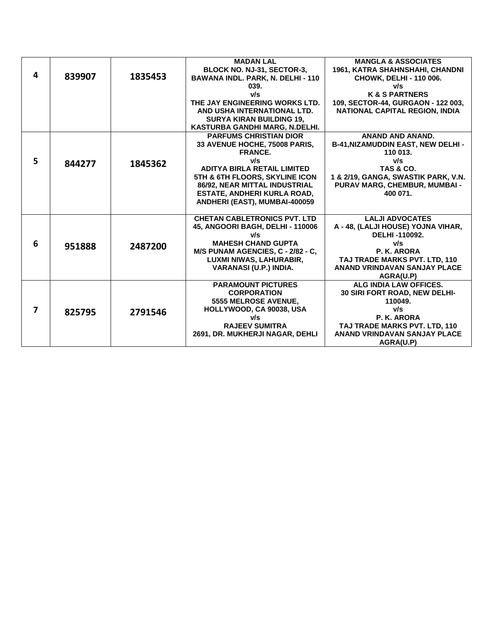|   |        |         | <b>MADAN LAL</b>                         | <b>MANGLA &amp; ASSOCIATES</b>           |
|---|--------|---------|------------------------------------------|------------------------------------------|
|   |        |         | BLOCK NO. NJ-31, SECTOR-3,               | 1961, KATRA SHAHNSHAHI, CHANDNI          |
| 4 | 839907 | 1835453 | <b>BAWANA INDL. PARK, N. DELHI - 110</b> | CHOWK, DELHI - 110 006.                  |
|   |        |         | 039.                                     | v/s                                      |
|   |        |         | v/s                                      | <b>K &amp; S PARTNERS</b>                |
|   |        |         | THE JAY ENGINEERING WORKS LTD.           | 109, SECTOR-44, GURGAON - 122 003,       |
|   |        |         | AND USHA INTERNATIONAL LTD.              | <b>NATIONAL CAPITAL REGION, INDIA</b>    |
|   |        |         | <b>SURYA KIRAN BUILDING 19.</b>          |                                          |
|   |        |         | KASTURBA GANDHI MARG, N.DELHI.           |                                          |
|   |        |         | <b>PARFUMS CHRISTIAN DIOR</b>            | ANAND AND ANAND.                         |
|   |        |         | 33 AVENUE HOCHE, 75008 PARIS,            | <b>B-41, NIZAMUDDIN EAST, NEW DELHI-</b> |
|   |        |         | <b>FRANCE.</b>                           | 110 013.                                 |
| 5 | 844277 | 1845362 | v/s                                      | v/s                                      |
|   |        |         | <b>ADITYA BIRLA RETAIL LIMITED</b>       | <b>TAS &amp; CO.</b>                     |
|   |        |         | 5TH & 6TH FLOORS, SKYLINE ICON           | 1 & 2/19, GANGA, SWASTIK PARK, V.N.      |
|   |        |         | 86/92, NEAR MITTAL INDUSTRIAL            | PURAV MARG, CHEMBUR, MUMBAI -            |
|   |        |         | ESTATE, ANDHERI KURLA ROAD,              | 400 071.                                 |
|   |        |         | ANDHERI (EAST), MUMBAI-400059            |                                          |
|   |        |         |                                          |                                          |
|   |        |         | <b>CHETAN CABLETRONICS PVT. LTD</b>      | <b>LALJI ADVOCATES</b>                   |
|   |        |         | 45, ANGOORI BAGH, DELHI - 110006         | A - 48, (LALJI HOUSE) YOJNA VIHAR,       |
|   |        |         | v/s                                      | DELHI-110092.                            |
| 6 | 951888 | 2487200 | <b>MAHESH CHAND GUPTA</b>                | v/s                                      |
|   |        |         | M/S PUNAM AGENCIES, C - 2/82 - C,        | P. K. ARORA                              |
|   |        |         | LUXMI NIWAS, LAHURABIR,                  | TAJ TRADE MARKS PVT. LTD. 110            |
|   |        |         | VARANASI (U.P.) INDIA.                   | ANAND VRINDAVAN SANJAY PLACE             |
|   |        |         |                                          | AGRA(U.P)                                |
|   |        |         | <b>PARAMOUNT PICTURES</b>                | ALG INDIA LAW OFFICES.                   |
|   |        |         | <b>CORPORATION</b>                       | 30 SIRI FORT ROAD, NEW DELHI-            |
|   |        |         | 5555 MELROSE AVENUE,                     | 110049.                                  |
| 7 | 825795 | 2791546 | HOLLYWOOD, CA 90038, USA                 | v/s                                      |
|   |        |         | v/s                                      | P. K. ARORA                              |
|   |        |         | <b>RAJEEV SUMITRA</b>                    | TAJ TRADE MARKS PVT. LTD, 110            |
|   |        |         | 2691, DR. MUKHERJI NAGAR, DEHLI          | ANAND VRINDAVAN SANJAY PLACE             |
|   |        |         |                                          | AGRA(U.P)                                |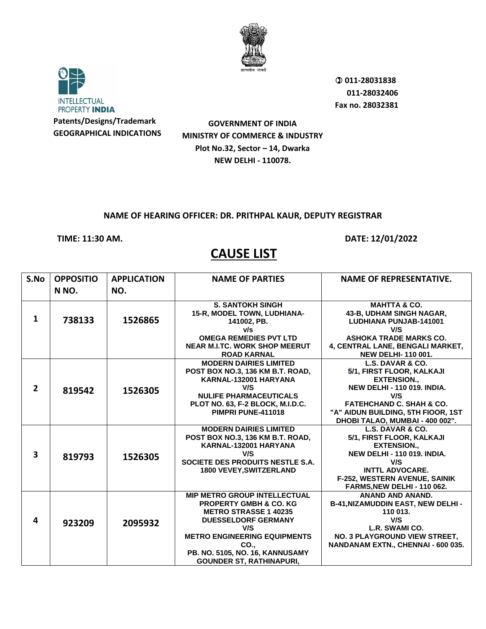



 **011-28031838 011-28032406 Fax no. 28032381**

**GOVERNMENT OF INDIA MINISTRY OF COMMERCE & INDUSTRY Plot No.32, Sector – 14, Dwarka NEW DELHI - 110078.**

## **NAME OF HEARING OFFICER: DR. PRITHPAL KAUR, DEPUTY REGISTRAR**

**TIME: 11:30 AM. DATE: 12/01/2022** 

| S.No         | <b>OPPOSITIO</b> | <b>APPLICATION</b> | <b>NAME OF PARTIES</b>                                                                                                                                                                                                                                             | <b>NAME OF REPRESENTATIVE.</b>                                                                                                                                                                            |
|--------------|------------------|--------------------|--------------------------------------------------------------------------------------------------------------------------------------------------------------------------------------------------------------------------------------------------------------------|-----------------------------------------------------------------------------------------------------------------------------------------------------------------------------------------------------------|
|              | N NO.            | NO.                |                                                                                                                                                                                                                                                                    |                                                                                                                                                                                                           |
| $\mathbf{1}$ | 738133           | 1526865            | <b>S. SANTOKH SINGH</b><br>15-R, MODEL TOWN, LUDHIANA-<br>141002, PB.                                                                                                                                                                                              | <b>MAHTTA &amp; CO.</b><br>43-B, UDHAM SINGH NAGAR,<br>LUDHIANA PUNJAB-141001                                                                                                                             |
|              |                  |                    | v/s<br><b>OMEGA REMEDIES PVT LTD</b>                                                                                                                                                                                                                               | V/S<br><b>ASHOKA TRADE MARKS CO.</b>                                                                                                                                                                      |
|              |                  |                    | <b>NEAR M.I.TC. WORK SHOP MEERUT</b><br><b>ROAD KARNAL</b>                                                                                                                                                                                                         | 4, CENTRAL LANE, BENGALI MARKET,<br><b>NEW DELHI-110 001.</b>                                                                                                                                             |
| $2^{\circ}$  | 819542           | 1526305            | <b>MODERN DAIRIES LIMITED</b><br>POST BOX NO.3, 136 KM B.T. ROAD,<br>KARNAL-132001 HARYANA<br>V/S<br><b>NULIFE PHARMACEUTICALS</b><br>PLOT NO. 63, F-2 BLOCK, M.I.D.C.                                                                                             | L.S. DAVAR & CO.<br>5/1, FIRST FLOOR, KALKAJI<br><b>EXTENSION.,</b><br><b>NEW DELHI - 110 019, INDIA.</b><br>V/S<br><b>FATEHCHAND C. SHAH &amp; CO.</b>                                                   |
|              |                  |                    | PIMPRI PUNE-411018                                                                                                                                                                                                                                                 | "A" AIDUN BUILDING, 5TH FIOOR, 1ST<br>DHOBI TALAO, MUMBAI - 400 002".                                                                                                                                     |
| 3            | 819793           | 1526305            | <b>MODERN DAIRIES LIMITED</b><br>POST BOX NO.3, 136 KM B.T. ROAD,<br>KARNAL-132001 HARYANA<br>V/S<br>SOCIETE DES PRODUITS NESTLE S.A.<br><b>1800 VEVEY, SWITZERLAND</b>                                                                                            | L.S. DAVAR & CO.<br>5/1, FIRST FLOOR, KALKAJI<br><b>EXTENSION.,</b><br><b>NEW DELHI - 110 019, INDIA.</b><br>V/S<br><b>INTTL ADVOCARE.</b><br>F-252, WESTERN AVENUE, SAINIK<br>FARMS.NEW DELHI - 110 062. |
| 4            | 923209           | 2095932            | <b>MIP METRO GROUP INTELLECTUAL</b><br><b>PROPERTY GMBH &amp; CO. KG</b><br><b>METRO STRASSE 1 40235</b><br><b>DUESSELDORF GERMANY</b><br>V/S<br><b>METRO ENGINEERING EQUIPMENTS</b><br>CO.,<br>PB. NO. 5105, NO. 16, KANNUSAMY<br><b>GOUNDER ST, RATHINAPURI,</b> | <b>ANAND AND ANAND.</b><br>B-41, NIZAMUDDIN EAST, NEW DELHI -<br>110 013.<br>V/S<br>L.R. SWAMI CO.<br>NO. 3 PLAYGROUND VIEW STREET,<br>NANDANAM EXTN., CHENNAI - 600 035.                                 |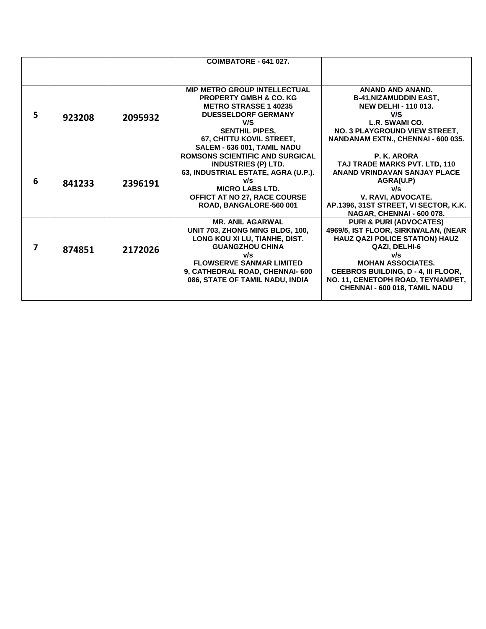|   |        |         | COIMBATORE - 641 027.                  |                                       |
|---|--------|---------|----------------------------------------|---------------------------------------|
|   |        |         |                                        |                                       |
|   |        |         | <b>MIP METRO GROUP INTELLECTUAL</b>    | <b>ANAND AND ANAND.</b>               |
|   |        |         | <b>PROPERTY GMBH &amp; CO. KG</b>      | <b>B-41, NIZAMUDDIN EAST,</b>         |
|   |        |         | <b>METRO STRASSE 1 40235</b>           | <b>NEW DELHI - 110 013.</b>           |
| 5 | 923208 |         | <b>DUESSELDORF GERMANY</b>             | V/S                                   |
|   |        | 2095932 | V/S                                    | L.R. SWAMI CO.                        |
|   |        |         | <b>SENTHIL PIPES,</b>                  | NO. 3 PLAYGROUND VIEW STREET,         |
|   |        |         | 67, CHITTU KOVIL STREET,               | NANDANAM EXTN., CHENNAI - 600 035.    |
|   |        |         | SALEM - 636 001, TAMIL NADU            |                                       |
|   |        |         | <b>ROMSONS SCIENTIFIC AND SURGICAL</b> | P. K. ARORA                           |
|   |        |         | <b>INDUSTRIES (P) LTD.</b>             | TAJ TRADE MARKS PVT. LTD, 110         |
|   |        |         | 63, INDUSTRIAL ESTATE, AGRA (U.P.).    | <b>ANAND VRINDAVAN SANJAY PLACE</b>   |
| 6 | 841233 | 2396191 | v/s                                    | AGRA(U.P)                             |
|   |        |         | <b>MICRO LABS LTD.</b>                 | v/s                                   |
|   |        |         | OFFICT AT NO 27, RACE COURSE           | V. RAVI. ADVOCATE.                    |
|   |        |         | ROAD, BANGALORE-560 001                | AP.1396, 31ST STREET, VI SECTOR, K.K. |
|   |        |         |                                        | NAGAR, CHENNAI - 600 078.             |
|   |        |         | <b>MR. ANIL AGARWAL</b>                | <b>PURI &amp; PURI (ADVOCATES)</b>    |
|   |        |         | UNIT 703, ZHONG MING BLDG, 100,        | 4969/5, IST FLOOR, SIRKIWALAN, (NEAR  |
|   |        |         | LONG KOU XI LU, TIANHE, DIST.          | HAUZ QAZI POLICE STATION) HAUZ        |
| 7 | 874851 | 2172026 | <b>GUANGZHOU CHINA</b>                 | QAZI, DELHI-6                         |
|   |        |         | v/s                                    | v/s                                   |
|   |        |         | <b>FLOWSERVE SANMAR LIMITED</b>        | <b>MOHAN ASSOCIATES.</b>              |
|   |        |         | 9, CATHEDRAL ROAD, CHENNAI- 600        | CEEBROS BUILDING, D - 4, III FLOOR,   |
|   |        |         | 086, STATE OF TAMIL NADU, INDIA        | NO. 11, CENETOPH ROAD, TEYNAMPET,     |
|   |        |         |                                        | <b>CHENNAI - 600 018, TAMIL NADU</b>  |
|   |        |         |                                        |                                       |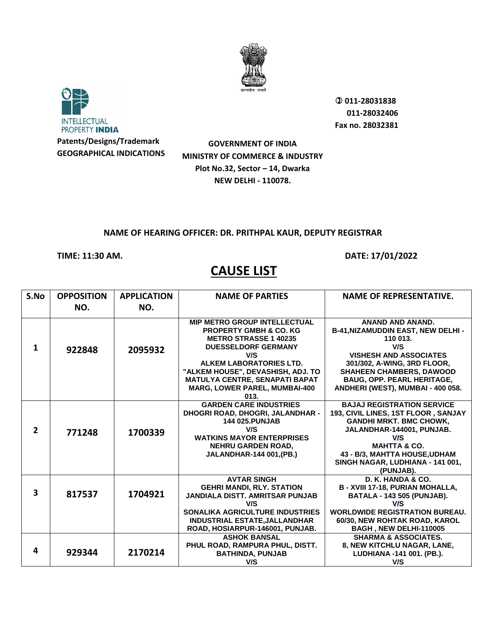



 **011-28031838 011-28032406 Fax no. 28032381**

**Patents/Designs/Trademark GEOGRAPHICAL INDICATIONS**

**GOVERNMENT OF INDIA MINISTRY OF COMMERCE & INDUSTRY Plot No.32, Sector – 14, Dwarka NEW DELHI - 110078.**

## **NAME OF HEARING OFFICER: DR. PRITHPAL KAUR, DEPUTY REGISTRAR**

## **TIME: 11:30 AM. DATE: 17/01/2022**

| S.No                    | <b>OPPOSITION</b> | <b>APPLICATION</b> | <b>NAME OF PARTIES</b>                                                                                                                                                                                                                                                                                 | <b>NAME OF REPRESENTATIVE.</b>                                                                                                                                                                                                                                      |
|-------------------------|-------------------|--------------------|--------------------------------------------------------------------------------------------------------------------------------------------------------------------------------------------------------------------------------------------------------------------------------------------------------|---------------------------------------------------------------------------------------------------------------------------------------------------------------------------------------------------------------------------------------------------------------------|
|                         | NO.               | NO.                |                                                                                                                                                                                                                                                                                                        |                                                                                                                                                                                                                                                                     |
| 1                       | 922848            | 2095932            | <b>MIP METRO GROUP INTELLECTUAL</b><br><b>PROPERTY GMBH &amp; CO. KG</b><br><b>METRO STRASSE 1 40235</b><br><b>DUESSELDORF GERMANY</b><br>V/S<br>ALKEM LABORATORIES LTD.<br>"ALKEM HOUSE", DEVASHISH, ADJ. TO<br><b>MATULYA CENTRE, SENAPATI BAPAT</b><br><b>MARG, LOWER PAREL, MUMBAI-400</b><br>013. | <b>ANAND AND ANAND.</b><br><b>B-41, NIZAMUDDIN EAST, NEW DELHI-</b><br>110 013.<br>V/S<br><b>VISHESH AND ASSOCIATES</b><br>301/302, A-WING, 3RD FLOOR,<br><b>SHAHEEN CHAMBERS, DAWOOD</b><br><b>BAUG, OPP. PEARL HERITAGE,</b><br>ANDHERI (WEST), MUMBAI - 400 058. |
| $\overline{2}$          | 771248            | 1700339            | <b>GARDEN CARE INDUSTRIES</b><br>DHOGRI ROAD, DHOGRI, JALANDHAR -<br><b>144 025.PUNJAB</b><br>V/S<br><b>WATKINS MAYOR ENTERPRISES</b><br><b>NEHRU GARDEN ROAD,</b><br>JALANDHAR-144 001, (PB.)                                                                                                         | <b>BAJAJ REGISTRATION SERVICE</b><br>193, CIVIL LINES, 1ST FLOOR, SANJAY<br><b>GANDHI MRKT. BMC CHOWK,</b><br>JALANDHAR-144001, PUNJAB.<br>V/S<br><b>MAHTTA &amp; CO.</b><br>43 - B/3, MAHTTA HOUSE, UDHAM<br>SINGH NAGAR, LUDHIANA - 141 001,<br>(PUNJAB).         |
| $\overline{\mathbf{3}}$ | 817537            | 1704921            | <b>AVTAR SINGH</b><br><b>GEHRI MANDI, RLY. STATION</b><br><b>JANDIALA DISTT. AMRITSAR PUNJAB</b><br>V/S<br><b>SONALIKA AGRICULTURE INDUSTRIES</b><br>INDUSTRIAL ESTATE, JALLANDHAR<br>ROAD, HOSIARPUR-146001, PUNJAB.                                                                                  | D. K. HANDA & CO.<br><b>B - XVIII 17-18, PURIAN MOHALLA,</b><br><b>BATALA - 143 505 (PUNJAB).</b><br>V/S<br><b>WORLDWIDE REGISTRATION BUREAU.</b><br>60/30. NEW ROHTAK ROAD, KAROL<br>BAGH, NEW DELHI-110005                                                        |
| 4                       | 929344            | 2170214            | <b>ASHOK BANSAL</b><br>PHUL ROAD, RAMPURA PHUL, DISTT.<br><b>BATHINDA, PUNJAB</b><br>V/S                                                                                                                                                                                                               | <b>SHARMA &amp; ASSOCIATES.</b><br>8, NEW KITCHLU NAGAR, LANE,<br>LUDHIANA -141 001. (PB.).<br>V/S                                                                                                                                                                  |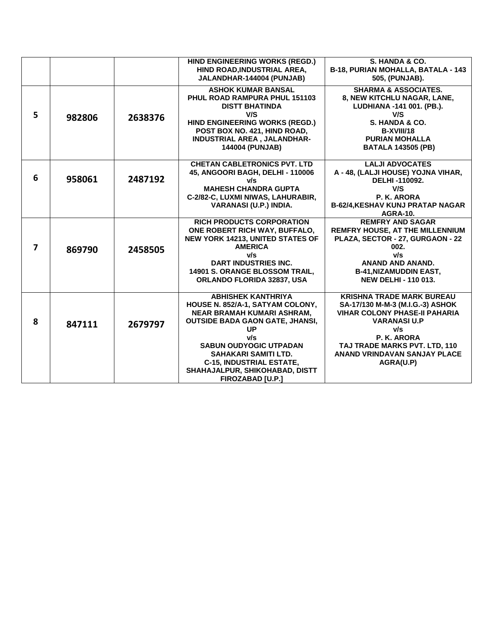|                |        |         | HIND ENGINEERING WORKS (REGD.)          | S. HANDA & CO.                          |
|----------------|--------|---------|-----------------------------------------|-----------------------------------------|
|                |        |         | HIND ROAD, INDUSTRIAL AREA,             | B-18, PURIAN MOHALLA, BATALA - 143      |
|                |        |         | JALANDHAR-144004 (PUNJAB)               | 505, (PUNJAB).                          |
|                |        |         | <b>ASHOK KUMAR BANSAL</b>               | <b>SHARMA &amp; ASSOCIATES.</b>         |
|                |        |         | PHUL ROAD RAMPURA PHUL 151103           |                                         |
|                |        |         |                                         | 8, NEW KITCHLU NAGAR, LANE,             |
|                |        |         | <b>DISTT BHATINDA</b>                   | LUDHIANA -141 001. (PB.).               |
| 5              | 982806 | 2638376 | V/S                                     | V/S                                     |
|                |        |         | HIND ENGINEERING WORKS (REGD.)          | S. HANDA & CO.                          |
|                |        |         | POST BOX NO. 421, HIND ROAD,            | B-XVIII/18                              |
|                |        |         | INDUSTRIAL AREA, JALANDHAR-             | <b>PURIAN MOHALLA</b>                   |
|                |        |         | <b>144004 (PUNJAB)</b>                  | <b>BATALA 143505 (PB)</b>               |
|                |        |         |                                         |                                         |
|                |        |         | <b>CHETAN CABLETRONICS PVT. LTD</b>     | <b>LALJI ADVOCATES</b>                  |
| 6              |        |         | 45, ANGOORI BAGH, DELHI - 110006        | A - 48, (LALJI HOUSE) YOJNA VIHAR,      |
|                | 958061 | 2487192 | v/s                                     | DELHI-110092.                           |
|                |        |         | <b>MAHESH CHANDRA GUPTA</b>             | V/S                                     |
|                |        |         | C-2/82-C, LUXMI NIWAS, LAHURABIR,       | P. K. ARORA                             |
|                |        |         | <b>VARANASI (U.P.) INDIA.</b>           | <b>B-62/4, KESHAV KUNJ PRATAP NAGAR</b> |
|                |        |         |                                         | <b>AGRA-10.</b>                         |
|                |        |         | <b>RICH PRODUCTS CORPORATION</b>        | <b>REMFRY AND SAGAR</b>                 |
|                |        | 2458505 | ONE ROBERT RICH WAY, BUFFALO,           | <b>REMFRY HOUSE, AT THE MILLENNIUM</b>  |
|                |        |         | <b>NEW YORK 14213, UNITED STATES OF</b> | PLAZA, SECTOR - 27, GURGAON - 22        |
| $\overline{ }$ | 869790 |         | <b>AMERICA</b>                          | 002.                                    |
|                |        |         | v/s                                     | v/s                                     |
|                |        |         | <b>DART INDUSTRIES INC.</b>             | ANAND AND ANAND.                        |
|                |        |         | <b>14901 S. ORANGE BLOSSOM TRAIL.</b>   | <b>B-41, NIZAMUDDIN EAST,</b>           |
|                |        |         | ORLANDO FLORIDA 32837, USA              | <b>NEW DELHI - 110 013.</b>             |
|                |        |         |                                         |                                         |
|                |        |         | <b>ABHISHEK KANTHRIYA</b>               | <b>KRISHNA TRADE MARK BUREAU</b>        |
|                |        |         | HOUSE N. 852/A-1, SATYAM COLONY,        | SA-17/130 M-M-3 (M.I.G.-3) ASHOK        |
|                |        |         | NEAR BRAMAH KUMARI ASHRAM,              | <b>VIHAR COLONY PHASE-II PAHARIA</b>    |
| 8              | 847111 | 2679797 | <b>OUTSIDE BADA GAON GATE, JHANSI,</b>  | <b>VARANASI U.P</b>                     |
|                |        |         | <b>UP</b>                               | v/s                                     |
|                |        |         | v/s                                     | P. K. ARORA                             |
|                |        |         | <b>SABUN OUDYOGIC UTPADAN</b>           | TAJ TRADE MARKS PVT. LTD, 110           |
|                |        |         | SAHAKARI SAMITI LTD.                    | ANAND VRINDAVAN SANJAY PLACE            |
|                |        |         | <b>C-15, INDUSTRIAL ESTATE,</b>         | AGRA(U.P)                               |
|                |        |         | SHAHAJALPUR, SHIKOHABAD, DISTT          |                                         |
|                |        |         | <b>FIROZABAD [U.P.]</b>                 |                                         |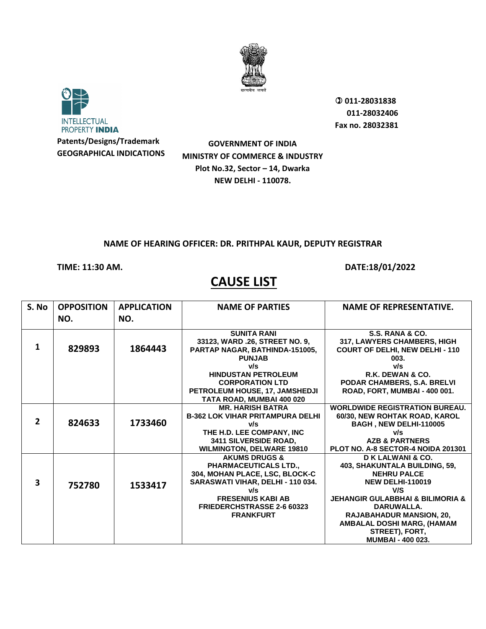



 **011-28031838 011-28032406 Fax no. 28032381**

**GOVERNMENT OF INDIA MINISTRY OF COMMERCE & INDUSTRY Plot No.32, Sector – 14, Dwarka NEW DELHI - 110078.**

## **NAME OF HEARING OFFICER: DR. PRITHPAL KAUR, DEPUTY REGISTRAR**

## **TIME: 11:30 AM. DATE:18/01/2022**

| S. No                   | <b>OPPOSITION</b> | <b>APPLICATION</b> | <b>NAME OF PARTIES</b>                  | <b>NAME OF REPRESENTATIVE.</b>                  |
|-------------------------|-------------------|--------------------|-----------------------------------------|-------------------------------------------------|
|                         | NO.               | NO.                |                                         |                                                 |
|                         |                   |                    | <b>SUNITA RANI</b>                      | S.S. RANA & CO.                                 |
|                         |                   |                    | 33123, WARD .26, STREET NO. 9,          | 317, LAWYERS CHAMBERS, HIGH                     |
| 1                       | 829893            | 1864443            | PARTAP NAGAR, BATHINDA-151005,          | <b>COURT OF DELHI, NEW DELHI - 110</b>          |
|                         |                   |                    | <b>PUNJAB</b>                           | 003.                                            |
|                         |                   |                    | v/s                                     | v/s                                             |
|                         |                   |                    | <b>HINDUSTAN PETROLEUM</b>              | R.K. DEWAN & CO.                                |
|                         |                   |                    | <b>CORPORATION LTD</b>                  | PODAR CHAMBERS, S.A. BRELVI                     |
|                         |                   |                    | PETROLEUM HOUSE, 17, JAMSHEDJI          | ROAD, FORT, MUMBAI - 400 001.                   |
|                         |                   |                    | TATA ROAD, MUMBAI 400 020               |                                                 |
|                         |                   |                    | <b>MR. HARISH BATRA</b>                 | <b>WORLDWIDE REGISTRATION BUREAU.</b>           |
| $\overline{2}$          |                   |                    | <b>B-362 LOK VIHAR PRITAMPURA DELHI</b> | 60/30, NEW ROHTAK ROAD, KAROL                   |
|                         | 824633            | 1733460            | v/s                                     | BAGH, NEW DELHI-110005                          |
|                         |                   |                    | THE H.D. LEE COMPANY, INC               | v/s                                             |
|                         |                   |                    | 3411 SILVERSIDE ROAD,                   | <b>AZB &amp; PARTNERS</b>                       |
|                         |                   |                    | <b>WILMINGTON, DELWARE 19810</b>        | PLOT NO. A-8 SECTOR-4 NOIDA 201301              |
|                         |                   |                    | <b>AKUMS DRUGS &amp;</b>                | D K LALWANI & CO.                               |
|                         |                   |                    | <b>PHARMACEUTICALS LTD.,</b>            | 403, SHAKUNTALA BUILDING, 59,                   |
|                         |                   |                    | 304, MOHAN PLACE, LSC, BLOCK-C          | <b>NEHRU PALCE</b>                              |
| $\overline{\mathbf{3}}$ | 752780            | 1533417            | SARASWATI VIHAR, DELHI - 110 034.       | <b>NEW DELHI-110019</b>                         |
|                         |                   |                    | v/s                                     | V/S                                             |
|                         |                   |                    | <b>FRESENIUS KABI AB</b>                | <b>JEHANGIR GULABBHAI &amp; BILIMORIA &amp;</b> |
|                         |                   |                    | <b>FRIEDERCHSTRASSE 2-6 60323</b>       | DARUWALLA.                                      |
|                         |                   |                    | <b>FRANKFURT</b>                        | <b>RAJABAHADUR MANSION, 20,</b>                 |
|                         |                   |                    |                                         | AMBALAL DOSHI MARG, (HAMAM                      |
|                         |                   |                    |                                         | STREET), FORT,                                  |
|                         |                   |                    |                                         | <b>MUMBAI - 400 023.</b>                        |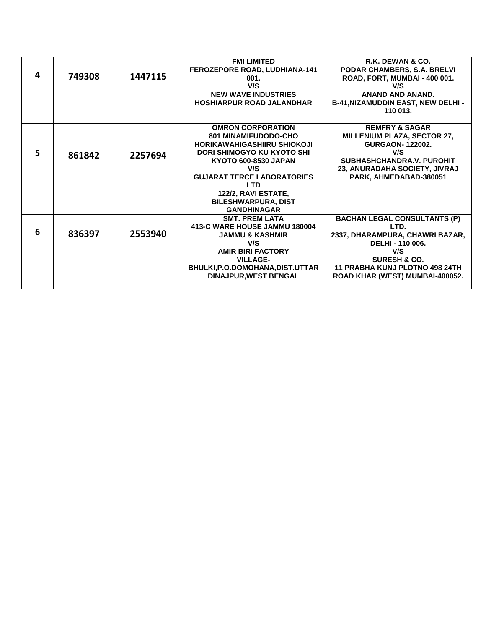|   |        |         | <b>FMI LIMITED</b>                   | R.K. DEWAN & CO.                         |
|---|--------|---------|--------------------------------------|------------------------------------------|
|   |        |         | <b>FEROZEPORE ROAD, LUDHIANA-141</b> | PODAR CHAMBERS, S.A. BRELVI              |
| 4 | 749308 | 1447115 | 001.                                 | ROAD, FORT, MUMBAI - 400 001.            |
|   |        |         | V/S                                  | V/S                                      |
|   |        |         | <b>NEW WAVE INDUSTRIES</b>           | <b>ANAND AND ANAND.</b>                  |
|   |        |         | <b>HOSHIARPUR ROAD JALANDHAR</b>     | <b>B-41, NIZAMUDDIN EAST, NEW DELHI-</b> |
|   |        |         |                                      | 110 013.                                 |
|   |        |         |                                      |                                          |
|   |        |         | <b>OMRON CORPORATION</b>             | <b>REMFRY &amp; SAGAR</b>                |
|   |        |         | <b>801 MINAMIFUDODO-CHO</b>          | MILLENIUM PLAZA, SECTOR 27,              |
|   |        |         | HORIKAWAHIGASHIIRU SHIOKOJI          | <b>GURGAON-122002.</b>                   |
| 5 | 861842 | 2257694 | DORI SHIMOGYO KU KYOTO SHI           | V/S                                      |
|   |        |         | KYOTO 600-8530 JAPAN                 | SUBHASHCHANDRA.V. PUROHIT                |
|   |        |         | V/S                                  | 23, ANURADAHA SOCIETY, JIVRAJ            |
|   |        |         | <b>GUJARAT TERCE LABORATORIES</b>    | PARK, AHMEDABAD-380051                   |
|   |        |         | <b>LTD</b>                           |                                          |
|   |        |         | 122/2, RAVI ESTATE,                  |                                          |
|   |        |         | <b>BILESHWARPURA, DIST</b>           |                                          |
|   |        |         | <b>GANDHINAGAR</b>                   |                                          |
|   |        |         | <b>SMT. PREM LATA</b>                | <b>BACHAN LEGAL CONSULTANTS (P)</b>      |
| 6 |        |         | 413-C WARE HOUSE JAMMU 180004        | LTD.                                     |
|   | 836397 | 2553940 | <b>JAMMU &amp; KASHMIR</b>           | 2337, DHARAMPURA, CHAWRI BAZAR,          |
|   |        |         | V/S                                  | DELHI - 110 006.                         |
|   |        |         | <b>AMIR BIRI FACTORY</b>             | V/S                                      |
|   |        |         | <b>VILLAGE-</b>                      | <b>SURESH &amp; CO.</b>                  |
|   |        |         | BHULKI, P.O.DOMOHANA, DIST.UTTAR     | <b>11 PRABHA KUNJ PLOTNO 498 24TH</b>    |
|   |        |         | <b>DINAJPUR, WEST BENGAL</b>         | ROAD KHAR (WEST) MUMBAI-400052.          |
|   |        |         |                                      |                                          |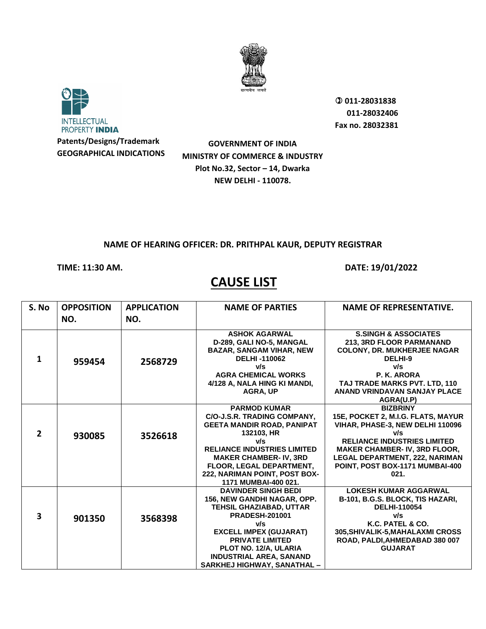



 **011-28031838 011-28032406 Fax no. 28032381**

**GOVERNMENT OF INDIA MINISTRY OF COMMERCE & INDUSTRY Plot No.32, Sector – 14, Dwarka NEW DELHI - 110078.**

## **NAME OF HEARING OFFICER: DR. PRITHPAL KAUR, DEPUTY REGISTRAR**

**TIME: 11:30 AM. DATE: 19/01/2022** 

| S. No                   | <b>OPPOSITION</b><br>NO. | <b>APPLICATION</b><br>NO. | <b>NAME OF PARTIES</b>                                                                                                                                                                                                                                                    | <b>NAME OF REPRESENTATIVE.</b>                                                                                                                                                                                                                                    |
|-------------------------|--------------------------|---------------------------|---------------------------------------------------------------------------------------------------------------------------------------------------------------------------------------------------------------------------------------------------------------------------|-------------------------------------------------------------------------------------------------------------------------------------------------------------------------------------------------------------------------------------------------------------------|
| 1                       | 959454                   | 2568729                   | <b>ASHOK AGARWAL</b><br>D-289, GALI NO-5, MANGAL<br><b>BAZAR, SANGAM VIHAR, NEW</b><br><b>DELHI-110062</b><br>v/s<br><b>AGRA CHEMICAL WORKS</b><br>4/128 A, NALA HING KI MANDI,<br><b>AGRA, UP</b>                                                                        | <b>S.SINGH &amp; ASSOCIATES</b><br>213, 3RD FLOOR PARMANAND<br><b>COLONY, DR. MUKHERJEE NAGAR</b><br>DELHI-9<br>v/s<br>P. K. ARORA<br>TAJ TRADE MARKS PVT. LTD, 110<br>ANAND VRINDAVAN SANJAY PLACE<br>AGRA(U.P)                                                  |
| $\overline{2}$          | 930085                   | 3526618                   | <b>PARMOD KUMAR</b><br>C/O-J.S.R. TRADING COMPANY,<br><b>GEETA MANDIR ROAD, PANIPAT</b><br>132103, HR<br>v/s<br><b>RELIANCE INDUSTRIES LIMITED</b><br><b>MAKER CHAMBER- IV, 3RD</b><br>FLOOR, LEGAL DEPARTMENT,<br>222, NARIMAN POINT, POST BOX-<br>1171 MUMBAI-400 021.  | <b>BIZBRINY</b><br>15E, POCKET 2, M.I.G. FLATS, MAYUR<br>VIHAR, PHASE-3, NEW DELHI 110096<br>v/s<br><b>RELIANCE INDUSTRIES LIMITED</b><br><b>MAKER CHAMBER-IV, 3RD FLOOR,</b><br><b>LEGAL DEPARTMENT, 222, NARIMAN</b><br>POINT, POST BOX-1171 MUMBAI-400<br>021. |
| $\overline{\mathbf{3}}$ | 901350                   | 3568398                   | <b>DAVINDER SINGH BEDI</b><br>156, NEW GANDHI NAGAR, OPP.<br>TEHSIL GHAZIABAD, UTTAR<br><b>PRADESH-201001</b><br>v/s<br><b>EXCELL IMPEX (GUJARAT)</b><br><b>PRIVATE LIMITED</b><br>PLOT NO. 12/A, ULARIA<br><b>INDUSTRIAL AREA, SANAND</b><br>SARKHEJ HIGHWAY, SANATHAL - | <b>LOKESH KUMAR AGGARWAL</b><br>B-101, B.G.S. BLOCK, TIS HAZARI,<br><b>DELHI-110054</b><br>v/s<br>K.C. PATEL & CO.<br><b>305, SHIVALIK-5, MAHALAXMI CROSS</b><br>ROAD, PALDI, AHMEDABAD 380 007<br><b>GUJARAT</b>                                                 |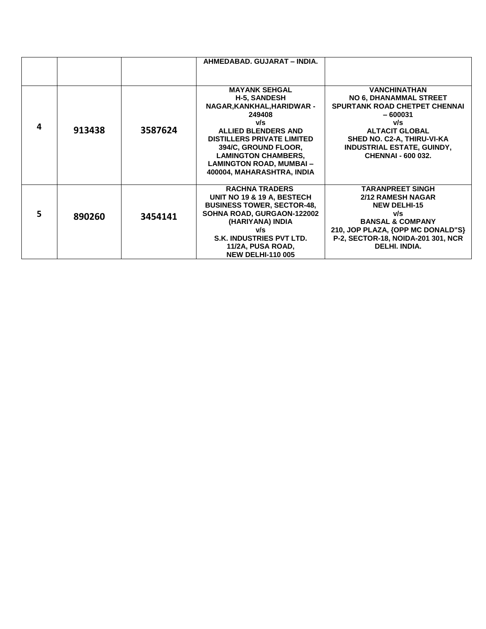|    |        |         | AHMEDABAD, GUJARAT - INDIA.                                                                                                                                                                                                                                                  |                                                                                                                                                                                                                                           |
|----|--------|---------|------------------------------------------------------------------------------------------------------------------------------------------------------------------------------------------------------------------------------------------------------------------------------|-------------------------------------------------------------------------------------------------------------------------------------------------------------------------------------------------------------------------------------------|
|    |        |         |                                                                                                                                                                                                                                                                              |                                                                                                                                                                                                                                           |
| 4  | 913438 | 3587624 | <b>MAYANK SEHGAL</b><br><b>H-5, SANDESH</b><br>NAGAR, KANKHAL, HARIDWAR -<br>249408<br>v/s<br>ALLIED BLENDERS AND<br><b>DISTILLERS PRIVATE LIMITED</b><br>394/C, GROUND FLOOR,<br><b>LAMINGTON CHAMBERS,</b><br><b>LAMINGTON ROAD, MUMBAI-</b><br>400004, MAHARASHTRA, INDIA | <b>VANCHINATHAN</b><br><b>NO 6, DHANAMMAL STREET</b><br><b>SPURTANK ROAD CHETPET CHENNAI</b><br>$-600031$<br>v/s<br><b>ALTACIT GLOBAL</b><br>SHED NO. C2-A, THIRU-VI-KA<br><b>INDUSTRIAL ESTATE, GUINDY,</b><br><b>CHENNAI - 600 032.</b> |
| 5. | 890260 | 3454141 | <b>RACHNA TRADERS</b><br>UNIT NO 19 & 19 A, BESTECH<br><b>BUSINESS TOWER, SECTOR-48,</b><br>SOHNA ROAD, GURGAON-122002<br>(HARIYANA) INDIA<br>v/s<br>S.K. INDUSTRIES PVT LTD.<br>11/2A, PUSA ROAD,<br><b>NEW DELHI-110 005</b>                                               | <b>TARANPREET SINGH</b><br><b>2/12 RAMESH NAGAR</b><br><b>NEW DELHI-15</b><br>v/s<br><b>BANSAL &amp; COMPANY</b><br>210, JOP PLAZA, {OPP MC DONALD"S}<br>P-2, SECTOR-18, NOIDA-201 301, NCR<br>DELHI. INDIA.                              |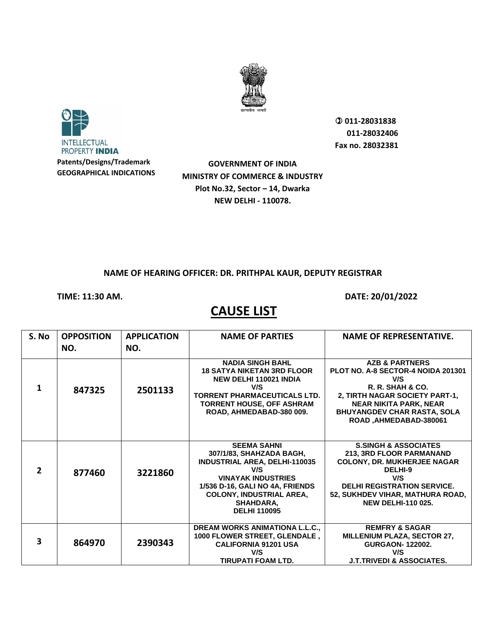



 **011-28031838 011-28032406 Fax no. 28032381**

**GOVERNMENT OF INDIA MINISTRY OF COMMERCE & INDUSTRY Plot No.32, Sector – 14, Dwarka NEW DELHI - 110078.**

### **NAME OF HEARING OFFICER: DR. PRITHPAL KAUR, DEPUTY REGISTRAR**

**TIME: 11:30 AM. DATE: 20/01/2022** 

| S. No        | <b>OPPOSITION</b><br>NO. | <b>APPLICATION</b><br>NO. | <b>NAME OF PARTIES</b>                                                                                                                                                                                                                      | <b>NAME OF REPRESENTATIVE.</b>                                                                                                                                                                                                |
|--------------|--------------------------|---------------------------|---------------------------------------------------------------------------------------------------------------------------------------------------------------------------------------------------------------------------------------------|-------------------------------------------------------------------------------------------------------------------------------------------------------------------------------------------------------------------------------|
| 1            | 847325                   | 2501133                   | <b>NADIA SINGH BAHL</b><br><b>18 SATYA NIKETAN 3RD FLOOR</b><br><b>NEW DELHI 110021 INDIA</b><br>V/S<br><b>TORRENT PHARMACEUTICALS LTD.</b><br><b>TORRENT HOUSE, OFF ASHRAM</b><br>ROAD, AHMEDABAD-380 009.                                 | <b>AZB &amp; PARTNERS</b><br>PLOT NO. A-8 SECTOR-4 NOIDA 201301<br>V/S<br>R. R. SHAH & CO.<br>2, TIRTH NAGAR SOCIETY PART-1,<br><b>NEAR NIKITA PARK, NEAR</b><br><b>BHUYANGDEV CHAR RASTA, SOLA</b><br>ROAD, AHMEDABAD-380061 |
| $\mathbf{z}$ | 877460                   | 3221860                   | <b>SEEMA SAHNI</b><br>307/1/83, SHAHZADA BAGH,<br><b>INDUSTRIAL AREA, DELHI-110035</b><br>V/S<br><b>VINAYAK INDUSTRIES</b><br>1/536 D-16, GALI NO 4A, FRIENDS<br><b>COLONY, INDUSTRIAL AREA,</b><br><b>SHAHDARA,</b><br><b>DELHI 110095</b> | <b>S.SINGH &amp; ASSOCIATES</b><br>213, 3RD FLOOR PARMANAND<br><b>COLONY, DR. MUKHERJEE NAGAR</b><br>DELHI-9<br>V/S<br><b>DELHI REGISTRATION SERVICE.</b><br>52, SUKHDEV VIHAR, MATHURA ROAD,<br><b>NEW DELHI-110 025.</b>    |
| 3            | 864970                   | 2390343                   | <b>DREAM WORKS ANIMATIONA L.L.C.,</b><br>1000 FLOWER STREET, GLENDALE,<br><b>CALIFORNIA 91201 USA</b><br>V/S<br>TIRUPATI FOAM LTD.                                                                                                          | <b>REMFRY &amp; SAGAR</b><br><b>MILLENIUM PLAZA, SECTOR 27,</b><br><b>GURGAON-122002.</b><br>V/S<br><b>J.T.TRIVEDI &amp; ASSOCIATES.</b>                                                                                      |